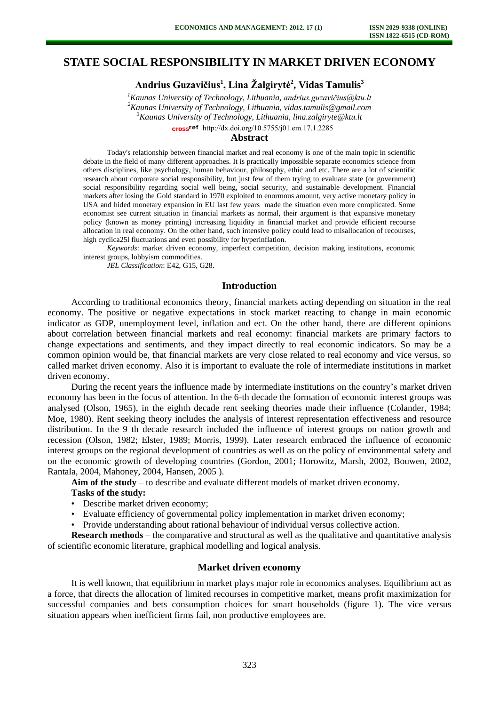# **STATE SOCIAL RESPONSIBILITY IN MARKET DRIVEN ECONOMY**

**Andrius Guzavičius<sup>1</sup> , Lina Žalgirytė<sup>2</sup> , Vidas Tamulis<sup>3</sup>**

*Kaunas University of Technology, Lithuania, andrius.guzavičius@ktu.lt Kaunas University of Technology, Lithuania, vidas.tamulis@gmail.com Kaunas University of Technology, Lithuania, lina.zalgiryte@ktu.lt*  [http://dx.doi.org/10.5755/j01.e](http://dx.doi.org/10.5755/j01.em.17.1.2285)m.17.1.2285

### **Abstract**

Today's relationship between financial market and real economy is one of the main topic in scientific debate in the field of many different approaches. It is practically impossible separate economics science from others disciplines, like psychology, human behaviour, philosophy, ethic and etc. There are a lot of scientific research about corporate social responsibility, but just few of them trying to evaluate state (or government) social responsibility regarding social well being, social security, and sustainable development. Financial markets after losing the Gold standard in 1970 exploited to enormous amount, very active monetary policy in USA and hided monetary expansion in EU last few years made the situation even more complicated. Some economist see current situation in financial markets as normal, their argument is that expansive monetary policy (known as money printing) increasing liquidity in financial market and provide efficient recourse allocation in real economy. On the other hand, such intensive policy could lead to misallocation of recourses, high cyclica25l fluctuations and even possibility for hyperinflation.

*Keywords*: market driven economy, imperfect competition, decision making institutions, economic interest groups, lobbyism commodities.

*JEL Classification*: E42, G15, G28.

## **Introduction**

According to traditional economics theory, financial markets acting depending on situation in the real economy. The positive or negative expectations in stock market reacting to change in main economic indicator as GDP, unemployment level, inflation and ect. On the other hand, there are different opinions about correlation between financial markets and real economy: financial markets are primary factors to change expectations and sentiments, and they impact directly to real economic indicators. So may be a common opinion would be, that financial markets are very close related to real economy and vice versus, so called market driven economy. Also it is important to evaluate the role of intermediate institutions in market driven economy.

During the recent years the influence made by intermediate institutions on the country's market driven economy has been in the focus of attention. In the 6-th decade the formation of economic interest groups was analysed (Olson, 1965), in the eighth decade rent seeking theories made their influence (Colander, 1984; Moe, 1980). Rent seeking theory includes the analysis of interest representation effectiveness and resource distribution. In the 9 th decade research included the influence of interest groups on nation growth and recession (Olson, 1982; Elster, 1989; Morris, 1999). Later research embraced the influence of economic interest groups on the regional development of countries as well as on the policy of environmental safety and on the economic growth of developing countries (Gordon, 2001; Horowitz, Marsh, 2002, Bouwen, 2002, Rantala, 2004, Mahoney, 2004, Hansen, 2005 ).

**Aim of the study** – to describe and evaluate different models of market driven economy.

#### **Tasks of the study:**

- Describe market driven economy;
- Evaluate efficiency of governmental policy implementation in market driven economy;
- Provide understanding about rational behaviour of individual versus collective action.

**Research methods** – the comparative and structural as well as the qualitative and quantitative analysis of scientific economic literature, graphical modelling and logical analysis.

#### **Market driven economy**

It is well known, that equilibrium in market plays major role in economics analyses. Equilibrium act as a force, that directs the allocation of limited recourses in competitive market, means profit maximization for successful companies and bets consumption choices for smart households (figure 1). The vice versus situation appears when inefficient firms fail, non productive employees are.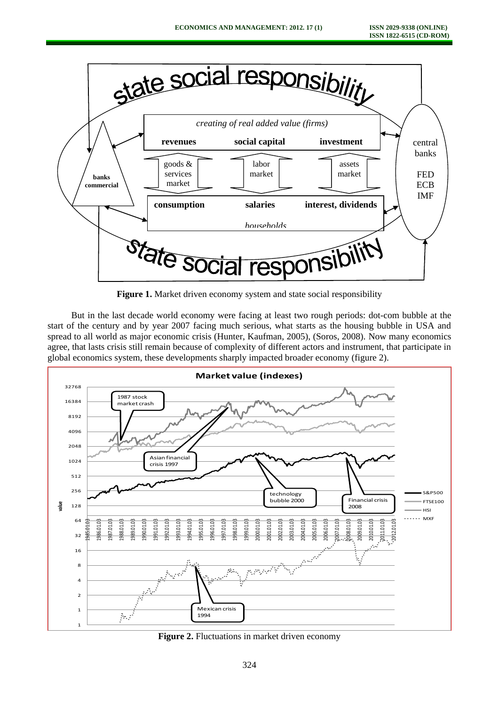

Figure 1. Market driven economy system and state social responsibility

But in the last decade world economy were facing at least two rough periods: dot-com bubble at the start of the century and by year 2007 facing much serious, what starts as the housing bubble in USA and spread to all world as major economic crisis (Hunter, Kaufman, 2005), (Soros, 2008). Now many economics agree, that lasts crisis still remain because of complexity of different actors and instrument, that participate in global economics system, these developments sharply impacted broader economy (figure 2).



**Figure 2.** Fluctuations in market driven economy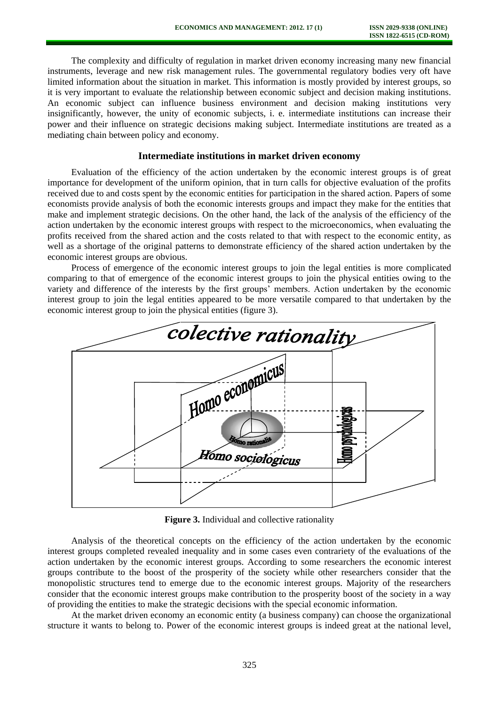The complexity and difficulty of regulation in market driven economy increasing many new financial instruments, leverage and new risk management rules. The governmental regulatory bodies very oft have limited information about the situation in market. This information is mostly provided by interest groups, so it is very important to evaluate the relationship between economic subject and decision making institutions. An economic subject can influence business environment and decision making institutions very insignificantly, however, the unity of economic subjects, i. e. intermediate institutions can increase their power and their influence on strategic decisions making subject. Intermediate institutions are treated as a mediating chain between policy and economy.

### **Intermediate institutions in market driven economy**

Evaluation of the efficiency of the action undertaken by the economic interest groups is of great importance for development of the uniform opinion, that in turn calls for objective evaluation of the profits received due to and costs spent by the economic entities for participation in the shared action. Papers of some economists provide analysis of both the economic interests groups and impact they make for the entities that make and implement strategic decisions. On the other hand, the lack of the analysis of the efficiency of the action undertaken by the economic interest groups with respect to the microeconomics, when evaluating the profits received from the shared action and the costs related to that with respect to the economic entity, as well as a shortage of the original patterns to demonstrate efficiency of the shared action undertaken by the economic interest groups are obvious.

Process of emergence of the economic interest groups to join the legal entities is more complicated comparing to that of emergence of the economic interest groups to join the physical entities owing to the variety and difference of the interests by the first groups' members. Action undertaken by the economic interest group to join the legal entities appeared to be more versatile compared to that undertaken by the economic interest group to join the physical entities (figure 3).



**Figure 3.** Individual and collective rationality

Analysis of the theoretical concepts on the efficiency of the action undertaken by the economic interest groups completed revealed inequality and in some cases even contrariety of the evaluations of the action undertaken by the economic interest groups. According to some researchers the economic interest groups contribute to the boost of the prosperity of the society while other researchers consider that the monopolistic structures tend to emerge due to the economic interest groups. Majority of the researchers consider that the economic interest groups make contribution to the prosperity boost of the society in a way of providing the entities to make the strategic decisions with the special economic information.

At the market driven economy an economic entity (a business company) can choose the organizational structure it wants to belong to. Power of the economic interest groups is indeed great at the national level,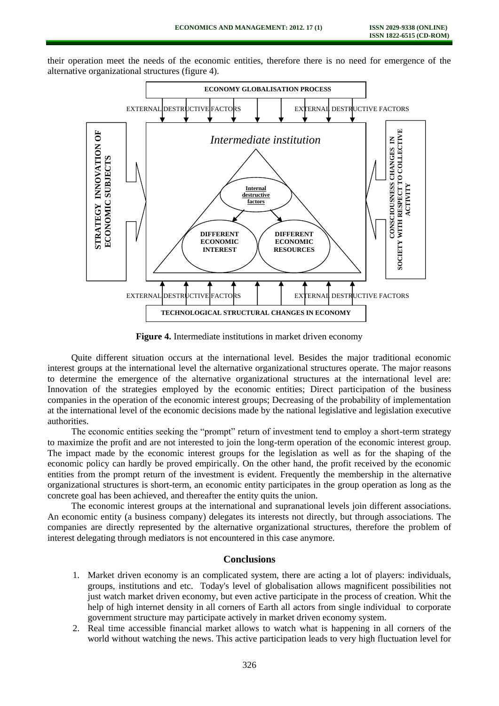their operation meet the needs of the economic entities, therefore there is no need for emergence of the alternative organizational structures (figure 4).



**Figure 4.** Intermediate institutions in market driven economy

Quite different situation occurs at the international level. Besides the major traditional economic interest groups at the international level the alternative organizational structures operate. The major reasons to determine the emergence of the alternative organizational structures at the international level are: Innovation of the strategies employed by the economic entities; Direct participation of the business companies in the operation of the economic interest groups; Decreasing of the probability of implementation at the international level of the economic decisions made by the national legislative and legislation executive authorities.

The economic entities seeking the "prompt" return of investment tend to employ a short-term strategy to maximize the profit and are not interested to join the long-term operation of the economic interest group. The impact made by the economic interest groups for the legislation as well as for the shaping of the economic policy can hardly be proved empirically. On the other hand, the profit received by the economic entities from the prompt return of the investment is evident. Frequently the membership in the alternative organizational structures is short-term, an economic entity participates in the group operation as long as the concrete goal has been achieved, and thereafter the entity quits the union.

The economic interest groups at the international and supranational levels join different associations. An economic entity (a business company) delegates its interests not directly, but through associations. The companies are directly represented by the alternative organizational structures, therefore the problem of interest delegating through mediators is not encountered in this case anymore.

#### **Conclusions**

- 1. Market driven economy is an complicated system, there are acting a lot of players: individuals, groups, institutions and etc. Today's level of globalisation allows magnificent possibilities not just watch market driven economy, but even active participate in the process of creation. Whit the help of high internet density in all corners of Earth all actors from single individual to corporate government structure may participate actively in market driven economy system.
- 2. Real time accessible financial market allows to watch what is happening in all corners of the world without watching the news. This active participation leads to very high fluctuation level for